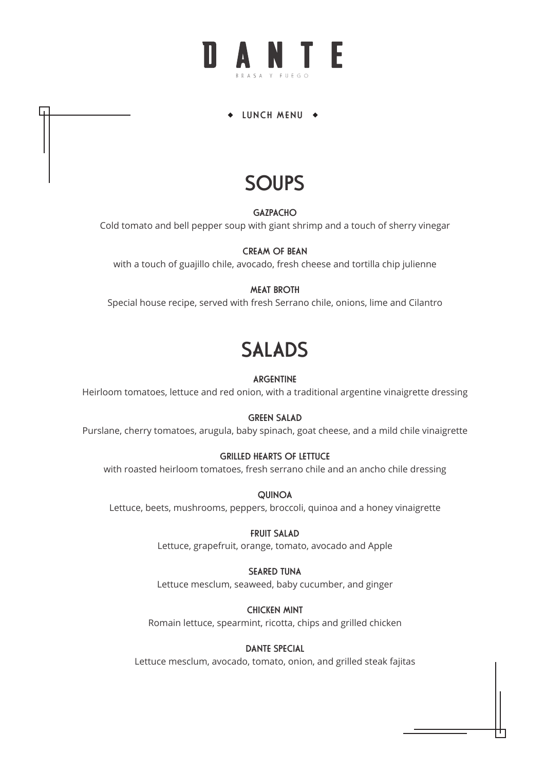#### LUNCH MENU +

## **SOUPS**

**GAZPACHO** 

Cold tomato and bell pepper soup with giant shrimp and a touch of sherry vinegar

CREAM OF BEAN with a touch of guajillo chile, avocado, fresh cheese and tortilla chip julienne

#### MEAT BROTH

Special house recipe, served with fresh Serrano chile, onions, lime and Cilantro

## SALADS

#### ARGENTINE

Heirloom tomatoes, lettuce and red onion, with a traditional argentine vinaigrette dressing

#### GREEN SALAD

Purslane, cherry tomatoes, arugula, baby spinach, goat cheese, and a mild chile vinaigrette

#### GRILLED HEARTS OF LETTUCE

with roasted heirloom tomatoes, fresh serrano chile and an ancho chile dressing

QUINOA Lettuce, beets, mushrooms, peppers, broccoli, quinoa and a honey vinaigrette

> FRUIT SALAD Lettuce, grapefruit, orange, tomato, avocado and Apple

#### SEARED TUNA

Lettuce mesclum, seaweed, baby cucumber, and ginger

CHICKEN MINT Romain lettuce, spearmint, ricotta, chips and grilled chicken

#### DANTE SPECIAL

Lettuce mesclum, avocado, tomato, onion, and grilled steak fajitas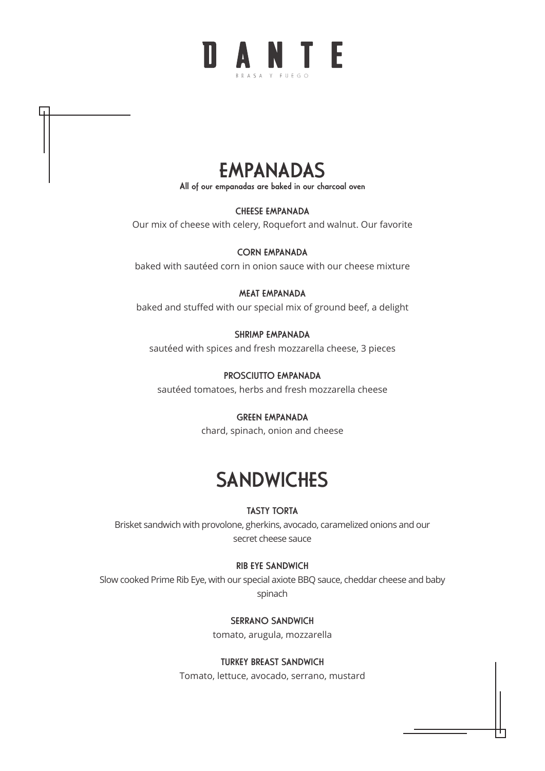



All of our empanadas are baked in our charcoal oven

CHEESE EMPANADA

Our mix of cheese with celery, Roquefort and walnut. Our favorite

CORN EMPANADA baked with sautéed corn in onion sauce with our cheese mixture

#### MEAT EMPANADA

baked and stuffed with our special mix of ground beef, a delight

#### SHRIMP EMPANADA

sautéed with spices and fresh mozzarella cheese, 3 pieces

PROSCIUTTO EMPANADA

sautéed tomatoes, herbs and fresh mozzarella cheese

#### GREEN EMPANADA

chard, spinach, onion and cheese

### **SANDWICHES**

#### TASTY TORTA

Brisket sandwich with provolone, gherkins, avocado, caramelized onions and our secret cheese sauce

#### RIB EYE SANDWICH

Slow cooked Prime Rib Eye, with our special axiote BBQ sauce, cheddar cheese and baby spinach

SERRANO SANDWICH

tomato, arugula, mozzarella

#### TURKEY BREAST SANDWICH

Tomato, lettuce, avocado, serrano, mustard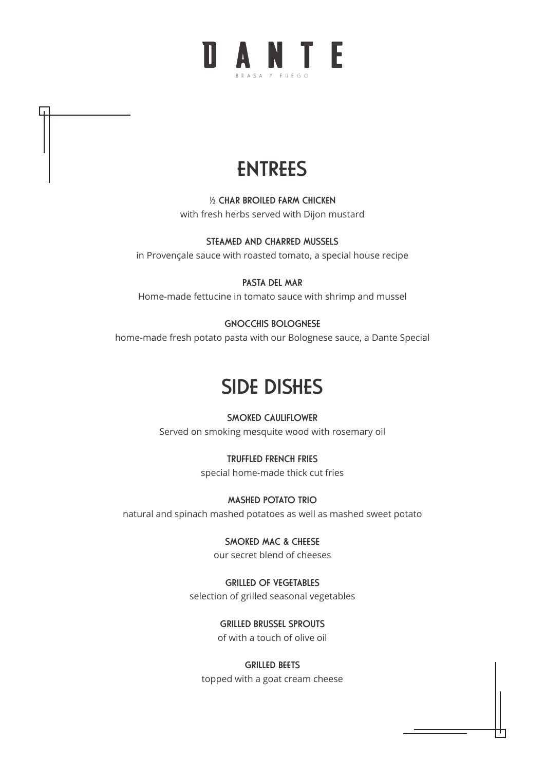

½ CHAR BROILED FARM CHICKEN with fresh herbs served with Dijon mustard

STEAMED AND CHARRED MUSSELS in Provençale sauce with roasted tomato, a special house recipe

PASTA DEL MAR Home-made fettucine in tomato sauce with shrimp and mussel

GNOCCHIS BOLOGNESE home-made fresh potato pasta with our Bolognese sauce, a Dante Special

## SIDE DISHES

SMOKED CAULIFLOWER Served on smoking mesquite wood with rosemary oil

> TRUFFLED FRENCH FRIES special home-made thick cut fries

MASHED POTATO TRIO natural and spinach mashed potatoes as well as mashed sweet potato

> SMOKED MAC & CHEESE our secret blend of cheeses

GRILLED OF VEGETABLES selection of grilled seasonal vegetables

GRILLED BRUSSEL SPROUTS

of with a touch of olive oil

GRILLED BEETS topped with a goat cream cheese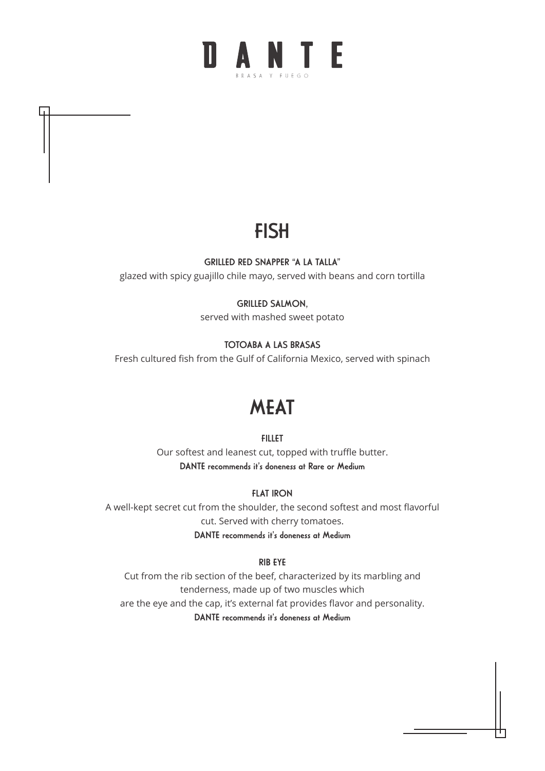## **FISH**

#### GRILLED RED SNAPPER "A LA TALLA"

glazed with spicy guajillo chile mayo, served with beans and corn tortilla

#### GRILLED SALMON,

served with mashed sweet potato

#### TOTOABA A LAS BRASAS

Fresh cultured fish from the Gulf of California Mexico, served with spinach

### **MEAT**

#### FILLET

Our softest and leanest cut, topped with truffle butter. DANTE recommends it's doneness at Rare or Medium

#### FLAT IRON

A well-kept secret cut from the shoulder, the second softest and most flavorful cut. Served with cherry tomatoes. DANTE recommends it's doneness at Medium

#### RIB EYE

Cut from the rib section of the beef, characterized by its marbling and tenderness, made up of two muscles which are the eye and the cap, it's external fat provides flavor and personality. DANTE recommends it's doneness at Medium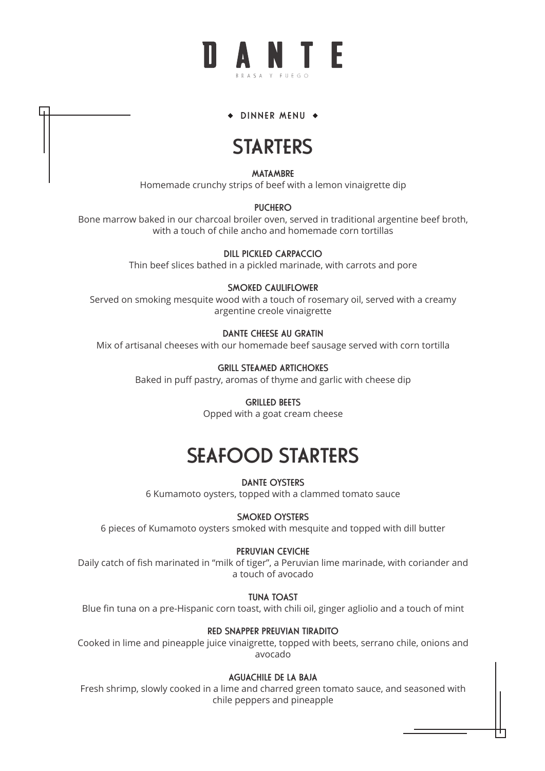## **N A N T F**

#### + DINNER MENU +

### **STARTERS**

MATAMBRE

Homemade crunchy strips of beef with a lemon vinaigrette dip

#### **PUCHERO**

Bone marrow baked in our charcoal broiler oven, served in traditional argentine beef broth, with a touch of chile ancho and homemade corn tortillas

DILL PICKLED CARPACCIO

Thin beef slices bathed in a pickled marinade, with carrots and pore

#### SMOKED CAULIFLOWER

Served on smoking mesquite wood with a touch of rosemary oil, served with a creamy argentine creole vinaigrette

#### DANTE CHEESE AU GRATIN

Mix of artisanal cheeses with our homemade beef sausage served with corn tortilla

#### GRILL STEAMED ARTICHOKES

Baked in puff pastry, aromas of thyme and garlic with cheese dip

#### GRILLED BEETS

Opped with a goat cream cheese

## SEAFOOD STARTERS

#### DANTE OYSTERS

6 Kumamoto oysters, topped with a clammed tomato sauce

#### SMOKED OYSTERS

6 pieces of Kumamoto oysters smoked with mesquite and topped with dill butter

#### PERUVIAN CEVICHE

Daily catch of fish marinated in "milk of tiger", a Peruvian lime marinade, with coriander and a touch of avocado

#### TUNA TOAST

Blue fin tuna on a pre-Hispanic corn toast, with chili oil, ginger agliolio and a touch of mint

#### RED SNAPPER PREUVIAN TIRADITO

Cooked in lime and pineapple juice vinaigrette, topped with beets, serrano chile, onions and avocado

#### AGUACHILE DE LA BAJA

Fresh shrimp, slowly cooked in a lime and charred green tomato sauce, and seasoned with chile peppers and pineapple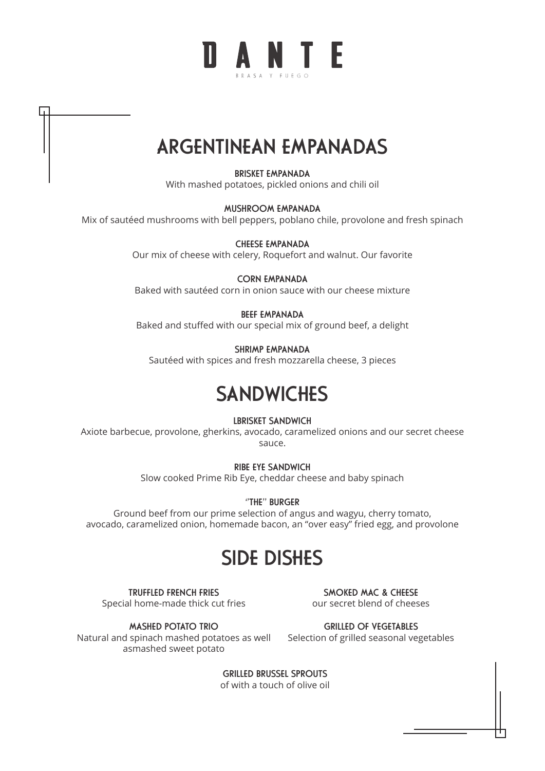

## ARGENTINEAN EMPANADAS

BRISKET EMPANADA With mashed potatoes, pickled onions and chili oil

#### MUSHROOM EMPANADA

Mix of sautéed mushrooms with bell peppers, poblano chile, provolone and fresh spinach

CHEESE EMPANADA Our mix of cheese with celery, Roquefort and walnut. Our favorite

CORN EMPANADA Baked with sautéed corn in onion sauce with our cheese mixture

#### BEEF EMPANADA

Baked and stuffed with our special mix of ground beef, a delight

SHRIMP EMPANADA

Sautéed with spices and fresh mozzarella cheese, 3 pieces

### **SANDWICHES**

LBRISKET SANDWICH

Axiote barbecue, provolone, gherkins, avocado, caramelized onions and our secret cheese sauce.

> RIBE EYE SANDWICH Slow cooked Prime Rib Eye, cheddar cheese and baby spinach

> > ''THE'' BURGER

Ground beef from our prime selection of angus and wagyu, cherry tomato, avocado, caramelized onion, homemade bacon, an "over easy" fried egg, and provolone

### SIDE DISHES

TRUFFLED FRENCH FRIES Special home-made thick cut fries

SMOKED MAC & CHEESE our secret blend of cheeses

MASHED POTATO TRIO Natural and spinach mashed potatoes as well asmashed sweet potato

GRILLED OF VEGETABLES Selection of grilled seasonal vegetables

GRILLED BRUSSEL SPROUTS of with a touch of olive oil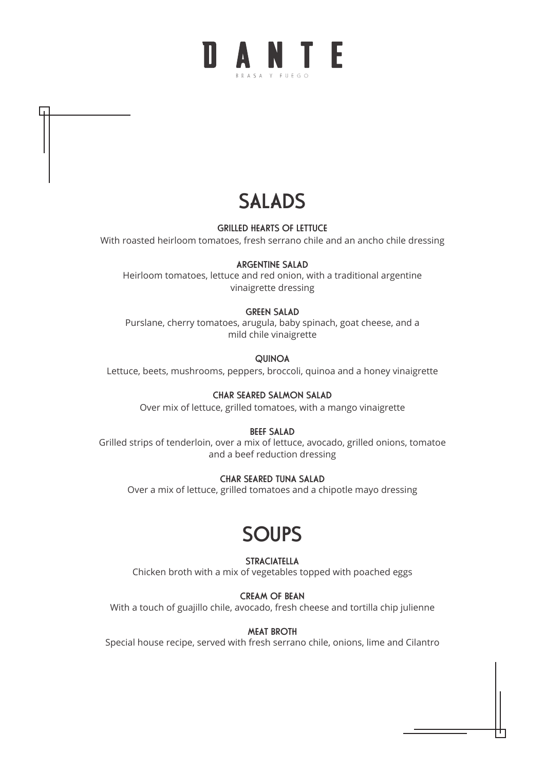# **NANTE**

## SALADS

GRILLED HEARTS OF LETTUCE

With roasted heirloom tomatoes, fresh serrano chile and an ancho chile dressing

#### ARGENTINE SALAD

Heirloom tomatoes, lettuce and red onion, with a traditional argentine vinaigrette dressing

#### GREEN SALAD

Purslane, cherry tomatoes, arugula, baby spinach, goat cheese, and a mild chile vinaigrette

**QUINOA** 

Lettuce, beets, mushrooms, peppers, broccoli, quinoa and a honey vinaigrette

#### CHAR SEARED SALMON SALAD

Over mix of lettuce, grilled tomatoes, with a mango vinaigrette

#### BEEF SALAD

Grilled strips of tenderloin, over a mix of lettuce, avocado, grilled onions, tomatoe and a beef reduction dressing

#### CHAR SEARED TUNA SALAD

Over a mix of lettuce, grilled tomatoes and a chipotle mayo dressing

### **SOUPS**

**STRACIATELLA** 

Chicken broth with a mix of vegetables topped with poached eggs

CREAM OF BEAN With a touch of guajillo chile, avocado, fresh cheese and tortilla chip julienne

MEAT BROTH Special house recipe, served with fresh serrano chile, onions, lime and Cilantro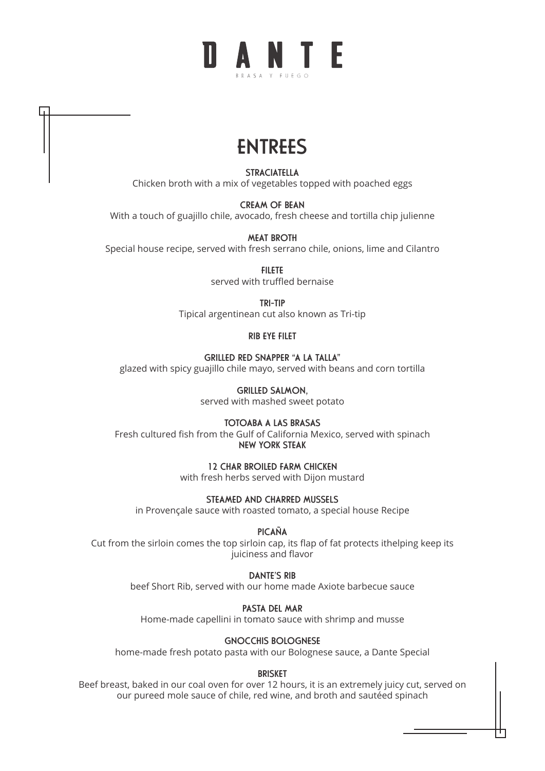## ANTF

## ENTREES

STRACIATELLA Chicken broth with a mix of vegetables topped with poached eggs

CREAM OF BEAN With a touch of guajillo chile, avocado, fresh cheese and tortilla chip julienne

MEAT BROTH Special house recipe, served with fresh serrano chile, onions, lime and Cilantro

> FILETE served with truffled bernaise

TRI-TIP Tipical argentinean cut also known as Tri-tip

RIB EYE FILET

GRILLED RED SNAPPER "A LA TALLA" glazed with spicy guajillo chile mayo, served with beans and corn tortilla

> GRILLED SALMON, served with mashed sweet potato

TOTOABA A LAS BRASAS Fresh cultured fish from the Gulf of California Mexico, served with spinach NEW YORK STEAK

1⁄2 CHAR BROILED FARM CHICKEN

with fresh herbs served with Dijon mustard

STEAMED AND CHARRED MIJSSELS in Provençale sauce with roasted tomato, a special house Recipe

PICAÑA

Cut from the sirloin comes the top sirloin cap, its flap of fat protects ithelping keep its juiciness and flavor

DANTE'S RIB

beef Short Rib, served with our home made Axiote barbecue sauce

PASTA DEL MAR

Home-made capellini in tomato sauce with shrimp and musse

GNOCCHIS BOLOGNESE

home-made fresh potato pasta with our Bolognese sauce, a Dante Special

BRISKET

Beef breast, baked in our coal oven for over 12 hours, it is an extremely juicy cut, served on our pureed mole sauce of chile, red wine, and broth and sautéed spinach